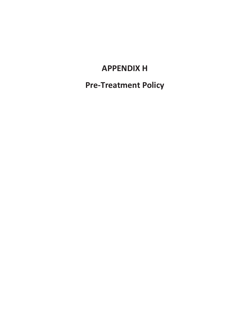# **APPENDIX H**

**Pre-Treatment Policy**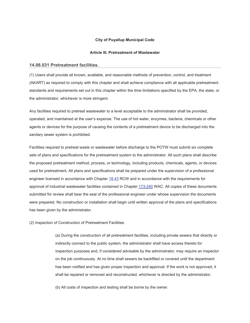#### **City of Puyallup Municipal Code**

#### **Article III. Pretreatment of Wastewater**

#### **14.06.031 Pretreatment facilities.**

(1) Users shall provide all known, available, and reasonable methods of prevention, control, and treatment (AKART) as required to comply with this chapter and shall achieve compliance with all applicable pretreatment standards and requirements set out in this chapter within the time limitations specified by the EPA, the state, or the administrator, whichever is more stringent.

Any facilities required to pretreat wastewater to a level acceptable to the administrator shall be provided, operated, and maintained at the user's expense. The use of hot water, enzymes, bacteria, chemicals or other agents or devices for the purpose of causing the contents of a pretreatment device to be discharged into the sanitary sewer system is prohibited.

Facilities required to pretreat waste or wastewater before discharge to the POTW must submit six complete sets of plans and specifications for the pretreatment system to the administrator. All such plans shall describe the proposed pretreatment method, process, or technology, including products, chemicals, agents, or devices used for pretreatment. All plans and specifications shall be prepared under the supervision of a professional engineer licensed in accordance with Chapter 18.43 RCW and in accordance with the requirements for approval of industrial wastewater facilities contained in Chapter 173-240 WAC. All copies of these documents submitted for review shall bear the seal of the professional engineer under whose supervision the documents were prepared. No construction or installation shall begin until written approval of the plans and specifications has been given by the administrator.

(2) Inspection of Construction of Pretreatment Facilities.

(a) During the construction of all pretreatment facilities, including private sewers that directly or indirectly connect to the public system, the administrator shall have access thereto for inspection purposes and, if considered advisable by the administrator, may require an inspector on the job continuously. At no time shall sewers be backfilled or covered until the department has been notified and has given proper inspection and approval. If the work is not approved, it shall be repaired or removed and reconstructed, whichever is directed by the administrator.

(b) All costs of inspection and testing shall be borne by the owner.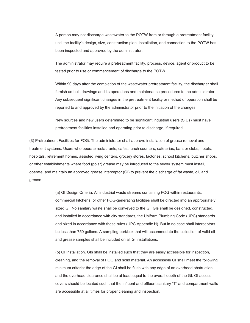A person may not discharge wastewater to the POTW from or through a pretreatment facility until the facility's design, size, construction plan, installation, and connection to the POTW has been inspected and approved by the administrator.

The administrator may require a pretreatment facility, process, device, agent or product to be tested prior to use or commencement of discharge to the POTW.

Within 90 days after the completion of the wastewater pretreatment facility, the discharger shall furnish as-built drawings and its operations and maintenance procedures to the administrator. Any subsequent significant changes in the pretreatment facility or method of operation shall be reported to and approved by the administrator prior to the initiation of the changes.

New sources and new users determined to be significant industrial users (SIUs) must have pretreatment facilities installed and operating prior to discharge, if required.

(3) Pretreatment Facilities for FOG. The administrator shall approve installation of grease removal and treatment systems. Users who operate restaurants, cafes, lunch counters, cafeterias, bars or clubs, hotels, hospitals, retirement homes, assisted living centers, grocery stores, factories, school kitchens, butcher shops, or other establishments where food (polar) grease may be introduced to the sewer system must install, operate, and maintain an approved grease interceptor (GI) to prevent the discharge of fat waste, oil, and grease.

> (a) GI Design Criteria. All industrial waste streams containing FOG within restaurants, commercial kitchens, or other FOG-generating facilities shall be directed into an appropriately sized GI. No sanitary waste shall be conveyed to the GI. GIs shall be designed, constructed, and installed in accordance with city standards, the Uniform Plumbing Code (UPC) standards and sized in accordance with these rules (UPC Appendix H). But in no case shall interceptors be less than 750 gallons. A sampling port/box that will accommodate the collection of valid oil and grease samples shall be included on all GI installations.

(b) GI Installation. GIs shall be installed such that they are easily accessible for inspection, cleaning, and the removal of FOG and solid material. An accessible GI shall meet the following minimum criteria: the edge of the GI shall be flush with any edge of an overhead obstruction; and the overhead clearance shall be at least equal to the overall depth of the GI. GI access covers should be located such that the influent and effluent sanitary "T" and compartment walls are accessible at all times for proper cleaning and inspection.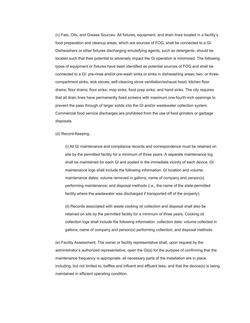(c) Fats, Oils, and Grease Sources. All fixtures, equipment, and drain lines located in a facility's food preparation and cleanup areas, which are sources of FOG, shall be connected to a GI. Dishwashers or other fixtures discharging emulsifying agents, such as detergents, should be located such that their potential to adversely impact the GI operation is minimized. The following types of equipment or fixtures have been identified as potential sources of FOG and shall be connected to a GI: pre-rinse and/or pre-wash sinks or sinks in dishwashing areas; two- or threecompartment sinks; wok stoves; self-cleaning stove ventilation/exhaust hood; kitchen floor drains; floor drains; floor sinks; mop sinks; food prep sinks; and hand sinks. The city requires that all drain lines have permanently fixed screens with maximum one-fourth-inch openings to prevent the pass through of larger solids into the GI and/or wastewater collection system. Commercial food service discharges are prohibited from the use of food grinders or garbage disposals.

#### (d) Record-Keeping.

(i) All GI maintenance and compliance records and correspondence must be retained on site by the permitted facility for a minimum of three years. A separate maintenance log shall be maintained for each GI and posted in the immediate vicinity of each device. GI maintenance logs shall include the following information: GI location and volume; maintenance dates; volume removed in gallons; name of company and person(s) performing maintenance; and disposal methods (i.e., the name of the state-permitted facility where the wastewater was discharged if transported off of the property).

(ii) Records associated with waste cooking oil collection and disposal shall also be retained on site by the permitted facility for a minimum of three years. Cooking oil collection logs shall include the following information: collection date; volume collected in gallons; name of company and person(s) performing collection; and disposal methods.

(e) Facility Assessment. The owner or facility representative shall, upon request by the administrator's authorized representative, open the GI(s) for the purpose of confirming that the maintenance frequency is appropriate, all necessary parts of the installation are in place, including, but not limited to, baffles and influent and effluent tees, and that the device(s) is being maintained in efficient operating condition.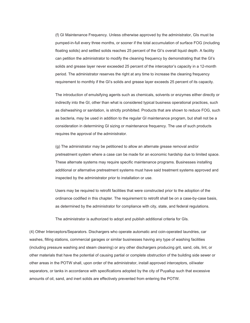(f) GI Maintenance Frequency. Unless otherwise approved by the administrator, GIs must be pumped-in-full every three months, or sooner if the total accumulation of surface FOG (including floating solids) and settled solids reaches 25 percent of the GI's overall liquid depth. A facility can petition the administrator to modify the cleaning frequency by demonstrating that the GI's solids and grease layer never exceeded 25 percent of the interceptor's capacity in a 12-month period. The administrator reserves the right at any time to increase the cleaning frequency requirement to monthly if the GI's solids and grease layer exceeds 25 percent of its capacity.

The introduction of emulsifying agents such as chemicals, solvents or enzymes either directly or indirectly into the GI, other than what is considered typical business operational practices, such as dishwashing or sanitation, is strictly prohibited. Products that are shown to reduce FOG, such as bacteria, may be used in addition to the regular GI maintenance program, but shall not be a consideration in determining GI sizing or maintenance frequency. The use of such products requires the approval of the administrator.

(g) The administrator may be petitioned to allow an alternate grease removal and/or pretreatment system where a case can be made for an economic hardship due to limited space. These alternate systems may require specific maintenance programs. Businesses installing additional or alternative pretreatment systems must have said treatment systems approved and inspected by the administrator prior to installation or use.

Users may be required to retrofit facilities that were constructed prior to the adoption of the ordinance codified in this chapter. The requirement to retrofit shall be on a case-by-case basis, as determined by the administrator for compliance with city, state, and federal regulations.

The administrator is authorized to adopt and publish additional criteria for GIs.

(4) Other Interceptors/Separators. Dischargers who operate automatic and coin-operated laundries, car washes, filling stations, commercial garages or similar businesses having any type of washing facilities (including pressure washing and steam cleaning) or any other dischargers producing grit, sand, oils, lint, or other materials that have the potential of causing partial or complete obstruction of the building side sewer or other areas in the POTW shall, upon order of the administrator, install approved interceptors, oil/water separators, or tanks in accordance with specifications adopted by the city of Puyallup such that excessive amounts of oil, sand, and inert solids are effectively prevented from entering the POTW.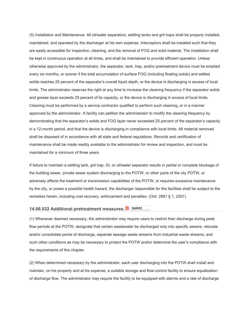(5) Installation and Maintenance. All oil/water separators, settling tanks and grit traps shall be properly installed, maintained, and operated by the discharger at his own expense. Interceptors shall be installed such that they are easily accessible for inspection, cleaning, and the removal of FOG and solid material. The installation shall be kept in continuous operation at all times, and shall be maintained to provide efficient operation. Unless otherwise approved by the administrator, the separator, tank, trap, and/or pretreatment device must be emptied every six months, or sooner if the total accumulation of surface FOG (including floating solids) and settled solids reaches 25 percent of the separator's overall liquid depth, or the device is discharging in excess of local limits. The administrator reserves the right at any time to increase the cleaning frequency if the separator solids and grease layer exceeds 25 percent of its capacity, or the device is discharging in excess of local limits. Cleaning must be performed by a service contractor qualified to perform such cleaning, or in a manner approved by the administrator. A facility can petition the administrator to modify the cleaning frequency by demonstrating that the separator's solids and FOG layer never exceeded 25 percent of the separator's capacity in a 12-month period, and that the device is discharging in compliance with local limits. All material removed shall be disposed of in accordance with all state and federal regulations. Records and certification of maintenance shall be made readily available to the administrator for review and inspection, and must be maintained for a minimum of three years.

If failure to maintain a settling tank, grit trap, GI, or oil/water separator results in partial or complete blockage of the building sewer, private sewer system discharging to the POTW, or other parts of the city POTW, or adversely affects the treatment or transmission capabilities of the POTW, or requires excessive maintenance by the city, or poses a possible health hazard, the discharger responsible for the facilities shall be subject to the remedies herein, including cost recovery, enforcement and penalties. (Ord. 2881 § 1, 2007).

#### **14.06.032 Additional pretreatment measures.**

(1) Whenever deemed necessary, the administrator may require users to restrict their discharge during peak flow periods at the POTW, designate that certain wastewater be discharged only into specific sewers, relocate and/or consolidate points of discharge, separate sewage waste streams from industrial waste streams, and such other conditions as may be necessary to protect the POTW and/or determine the user's compliance with the requirements of this chapter.

(2) When determined necessary by the administrator, each user discharging into the POTW shall install and maintain, on his property and at his expense, a suitable storage and flow-control facility to ensure equalization of discharge flow. The administrator may require the facility to be equipped with alarms and a rate of discharge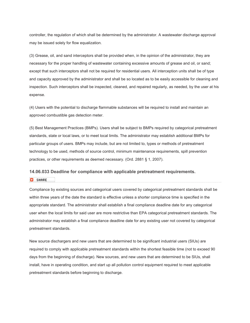controller, the regulation of which shall be determined by the administrator. A wastewater discharge approval may be issued solely for flow equalization.

(3) Grease, oil, and sand interceptors shall be provided when, in the opinion of the administrator, they are necessary for the proper handling of wastewater containing excessive amounts of grease and oil, or sand; except that such interceptors shall not be required for residential users. All interception units shall be of type and capacity approved by the administrator and shall be so located as to be easily accessible for cleaning and inspection. Such interceptors shall be inspected, cleaned, and repaired regularly, as needed, by the user at his expense.

(4) Users with the potential to discharge flammable substances will be required to install and maintain an approved combustible gas detection meter.

(5) Best Management Practices (BMPs). Users shall be subject to BMPs required by categorical pretreatment standards, state or local laws, or to meet local limits. The administrator may establish additional BMPs for particular groups of users. BMPs may include, but are not limited to, types or methods of pretreatment technology to be used, methods of source control, minimum maintenance requirements, spill prevention practices, or other requirements as deemed necessary. (Ord. 2881 § 1, 2007).

#### **14.06.033 Deadline for compliance with applicable pretreatment requirements.**

**B** SHARE

Compliance by existing sources and categorical users covered by categorical pretreatment standards shall be within three years of the date the standard is effective unless a shorter compliance time is specified in the appropriate standard. The administrator shall establish a final compliance deadline date for any categorical user when the local limits for said user are more restrictive than EPA categorical pretreatment standards. The administrator may establish a final compliance deadline date for any existing user not covered by categorical pretreatment standards.

New source dischargers and new users that are determined to be significant industrial users (SIUs) are required to comply with applicable pretreatment standards within the shortest feasible time (not to exceed 90 days from the beginning of discharge). New sources, and new users that are determined to be SIUs, shall install, have in operating condition, and start up all pollution control equipment required to meet applicable pretreatment standards before beginning to discharge.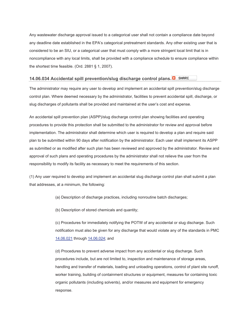Any wastewater discharge approval issued to a categorical user shall not contain a compliance date beyond any deadline date established in the EPA's categorical pretreatment standards. Any other existing user that is considered to be an SIU, or a categorical user that must comply with a more stringent local limit that is in noncompliance with any local limits, shall be provided with a compliance schedule to ensure compliance within the shortest time feasible. (Ord. 2881 § 1, 2007).

# **14.06.034 Accidental spill prevention/slug discharge control plans.**

The administrator may require any user to develop and implement an accidental spill prevention/slug discharge control plan. Where deemed necessary by the administrator, facilities to prevent accidental spill, discharge, or slug discharges of pollutants shall be provided and maintained at the user's cost and expense.

An accidental spill prevention plan (ASPP)/slug discharge control plan showing facilities and operating procedures to provide this protection shall be submitted to the administrator for review and approval before implementation. The administrator shall determine which user is required to develop a plan and require said plan to be submitted within 90 days after notification by the administrator. Each user shall implement its ASPP as submitted or as modified after such plan has been reviewed and approved by the administrator. Review and approval of such plans and operating procedures by the administrator shall not relieve the user from the responsibility to modify its facility as necessary to meet the requirements of this section.

(1) Any user required to develop and implement an accidental slug discharge control plan shall submit a plan that addresses, at a minimum, the following:

(a) Description of discharge practices, including nonroutine batch discharges;

(b) Description of stored chemicals and quantity;

(c) Procedures for immediately notifying the POTW of any accidental or slug discharge. Such notification must also be given for any discharge that would violate any of the standards in PMC 14.06.021 through 14.06.024; and

(d) Procedures to prevent adverse impact from any accidental or slug discharge. Such procedures include, but are not limited to, inspection and maintenance of storage areas, handling and transfer of materials, loading and unloading operations, control of plant site runoff, worker training, building of containment structures or equipment, measures for containing toxic organic pollutants (including solvents), and/or measures and equipment for emergency response.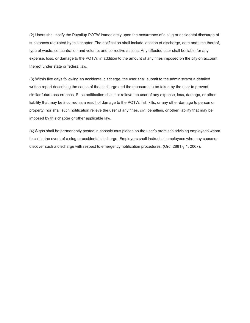(2) Users shall notify the Puyallup POTW immediately upon the occurrence of a slug or accidental discharge of substances regulated by this chapter. The notification shall include location of discharge, date and time thereof, type of waste, concentration and volume, and corrective actions. Any affected user shall be liable for any expense, loss, or damage to the POTW, in addition to the amount of any fines imposed on the city on account thereof under state or federal law.

(3) Within five days following an accidental discharge, the user shall submit to the administrator a detailed written report describing the cause of the discharge and the measures to be taken by the user to prevent similar future occurrences. Such notification shall not relieve the user of any expense, loss, damage, or other liability that may be incurred as a result of damage to the POTW, fish kills, or any other damage to person or property; nor shall such notification relieve the user of any fines, civil penalties, or other liability that may be imposed by this chapter or other applicable law.

(4) Signs shall be permanently posted in conspicuous places on the user's premises advising employees whom to call in the event of a slug or accidental discharge. Employers shall instruct all employees who may cause or discover such a discharge with respect to emergency notification procedures. (Ord. 2881 § 1, 2007).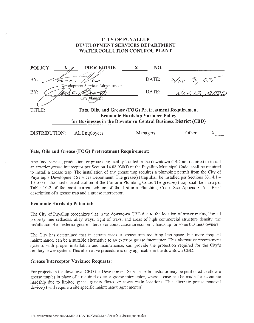# **CITY OF PUYALLUP DEVELOPMENT SERVICES DEPARTMENT WATER POLLUTION CONTROL PLANT**

| <b>POLICY</b>                                                  | <b>PROCEDURE</b>                   |          | NO.                                                   |
|----------------------------------------------------------------|------------------------------------|----------|-------------------------------------------------------|
| BY.                                                            | Qevelopment Services Administrator | DATE:    | $\sqrt{ov} \ge$<br>$\circ$                            |
| BY.                                                            |                                    | DATE:    | Nov.13                                                |
|                                                                | City Manager                       |          |                                                       |
| TITLE:                                                         |                                    |          | Fats, Oils, and Grease (FOG) Pretreatment Requirement |
| <b>Economic Hardship Variance Policy</b>                       |                                    |          |                                                       |
| for Businesses in the Downtown Central Business District (CBD) |                                    |          |                                                       |
| DISTRIBUTION:                                                  | All Employees                      | Managers | <b>Other</b>                                          |

## Fats, Oils and Grease (FOG) Pretreatment Requirement:

Any food service, production, or processing facility located in the downtown CBD not required to install an exterior grease interceptor per Section 14.08.030(f) of the Puyallup Municipal Code, shall be required to install a grease trap. The installation of any grease trap requires a plumbing permit from the City of Puvallup's Development Services Department. The grease(s) trap shall be installed per Sections  $10.14.1 -$ 1015.0 of the most current edition of the Uniform Plumbing Code. The grease(s) trap shall be sized per Table 10-2 of the most current edition of the Uniform Plumbing Code. See Appendix A - Brief description of a grease trap and a grease interceptor.

## **Economic Hardship Potential:**

The City of Puyallup recognizes that in the downtown CBD due to the location of sewer mains, limited property line setbacks, alley ways, right of ways, and areas of high commercial structure density, the installation of an exterior grease interceptor could cause an economic hardship for some business owners.

The City has determined that in certain cases, a grease trap requiring less space, but more frequent maintenance, can be a suitable alternative to an exterior grease interceptor. This alternative pretreatment system, with proper installation and maintenance, can provide the protection required for the City's sanitary sewer system. This alternative procedure is only applicable in the downtown CBD.

#### **Grease Interceptor Variance Requests:**

For projects in the downtown CBD the Development Services Administrator may be petitioned to allow a grease trap(s) in place of a required exterior grease interceptor, where a case can be made for economic hardship due to limited space, gravity flows, or sewer main locations. This alternate grease removal  $device(s)$  will require a site specific maintenance agreement(s).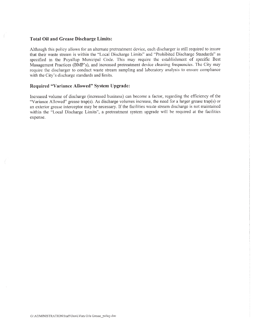### **Total Oil and Grease Discharge Limits:**

Although this policy allows for an alternate pretreatment device, each discharger is still required to insure that their waste stream is within the "Local Discharge Limits" and "Prohibited Discharge Standards" as specified in the Puyallup Municipal Code. This may require the establishment of specific Best Management Practices (BMP's), and increased pretreatment device cleaning frequencies. The City may require the discharger to conduct waste stream sampling and laboratory analysis to ensure compliance with the City's discharge standards and limits.

# Required "Variance Allowed" System Upgrade:

Increased volume of discharge (increased business) can become a factor, regarding the efficiency of the "Variance Allowed" grease trap(s). As discharge volumes increase, the need for a larger grease trap(s) or an exterior grease interceptor may be necessary. If the facilities waste stream discharge is not maintained within the "Local Discharge Limits", a pretreatment system upgrade will be required at the facilities expense.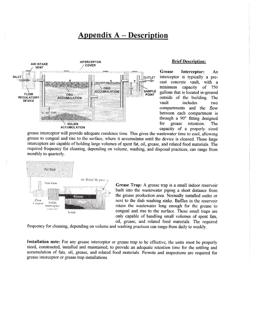# **Appendix A – Description**



#### **Brief Description:**

**Grease** Interceptor: An interceptor is typically a precast concrete vault, with a minimum capacity <sub>of</sub> 750 gallons that is located in-ground outside of the building. The vault *includes* two compartments and the flow between each compartment is through a 90° fitting designed for grease retention. **The** capacity of a properly sized

grease interceptor will provide adequate residence time. This gives the wastewater time to cool, allowing grease to congeal and rise to the surface, where it accumulates until the device is cleaned. These large interceptors are capable of holding large volumes of spent fat, oil, grease, and related food materials. The required frequency for cleaning, depending on volume, washing, and disposal practices, can range from monthly to quarterly.



Grease Trap: A grease trap is a small indoor reservoir built into the wastewater piping a short distance from the grease production area. Normally installed under or next to the dish washing sinks. Baffles in the reservoir retain the wastewater long enough for the grease to congeal and rise to the surface. These small traps are only capable of handling small volumes of spent fats. oil, grease, and related food materials. The required

frequency for cleaning, depending on volume and washing practices can range from daily to weekly.

Installation note: For any grease interceptor or grease trap to be effective, the units must be properly sized, constructed, installed and maintained, to provide an adequate retention time for the settling and accumulation of fats, oil, grease, and related food materials. Permits and inspections are required for grease interceptor or grease trap installations.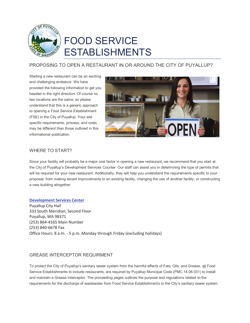

# FOOD SERVICE ESTABLISHMENTS

# PROPOSING TO OPEN A RESTAURANT IN OR AROUND THE CITY OF PUYALLUP?

Starting a new restaurant can be an exciting and challenging endeavor. We have provided the following information to get you headed in the right direction. Of course no two locations are the same, so please understand that this is a generic approach to opening a Food Service Establishment (FSE) in the City of Puyallup. Your site specific requirements, process, and costs may be different than those outlined in this informational publication.



# WHERE TO START?

Since your facility will probably be a major cost factor in opening a new restaurant, we recommend that you start at the City of Puyallup's Development Services Counter. Our staff can assist you in determining the type of permits that will be required for your new restaurant. Additionally, they will help you understand the requirements specific to your proposal, from making tenant improvements to an existing facility, changing the use of another facility, or constructing a new building altogether.

#### **Development Services Center**

Puyallup City Hall 333 South Meridian, Second Floor Puyallup, WA 98371 (253) 864-4165 Main Number (253) 840-6678 Fax Office Hours: 8 a.m. - 5 p.m. Monday through Friday (excluding holidays)

# GREASE INTERCEPTOR REQUIRMENT

To protect the City of Puyallup's sanitary sewer system from the harmful effects of Fats, Oils, and Grease, all Food Service Establishments to include restaurants, are required by Puyallup Municipal Code (PMC 14.06.031) to install and maintain a Grease Interceptor. The proceeding pages outlines the purpose and regulations related to the requirements for the discharge of wastewater from Food Service Establishments to the City's sanitary sewer system.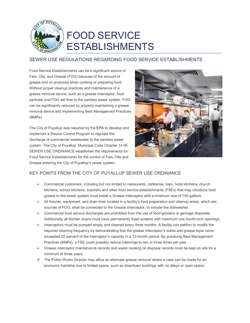

# SEWER USE REGULATIONS REGARDING FOOD SERVICE ESTABLISHMENTS

Food Service Establishments can be a significant source of Fats, Oils, and Grease (FOG) because of the amount of grease and oil produced when cooking or preparing food. Without proper cleanup practices and maintenance of a grease removal device, such as a grease interceptor, food particles and FOG will flow to the sanitary sewer system. FOG can be significantly reduced by properly maintaining a grease removal device and implementing Best Management Practices (BMPs).

The City of Puyallup was required by the EPA to develop and implement a Source Control Program to regulate the discharge of commercial wastewater to the sanitary sewer system. The City of Puyallup' Municipal Code Chapter 14.06 SEWER USE ORDINANCE establishes the requirements for Food Service Establishments for the control of Fats, Oils and Grease entering the City of Puyallup's sewer system.



# KEY POINTS FROM THE CITY OF PUYALLUP SEWER USE ORDINANCE

- $\triangleright$  Commercial customers, including but not limited to restaurants, cafeterias, bars, hotel kitchens, church kitchens, school kitchens, butchers and other food service establishments (FSEs) that may introduce food grease to the sewer system must install a Grease Interceptor with a minimum size of 750 gallons.
- $\triangleright$  All fixtures, equipment, and drain lines located in a facility's food preparation and cleanup areas, which are sources of FOG, shall be connected to the Grease Interceptor, to include the dishwasher.
- $\triangleright$  Commercial food service discharges are prohibited from the use of food grinders or garbage disposals. Additionally all kitchen drains must have permanently fixed screens with maximum one-fourth-inch openings.
- $\triangleright$  Interceptors must be pumped empty and cleaned every three months. A facility can petition to modify the required cleaning frequency by demonstrating that the grease interceptor's solids and grease layer never exceeded 25 percent of the interceptor's capacity in a 12-month period. By practicing Best Management Practices (BMPs), a FSE could possibly reduce cleanings to two or three times per year.
- $\triangleright$  Grease interceptor maintenance records and waste cooking oil disposal records must be kept on site for a minimum of three years.
- $\triangleright$  The Public Works Director may allow an alternate grease removal where a case can be made for an economic hardship due to limited space, such as downtown buildings with no alleys or open space.